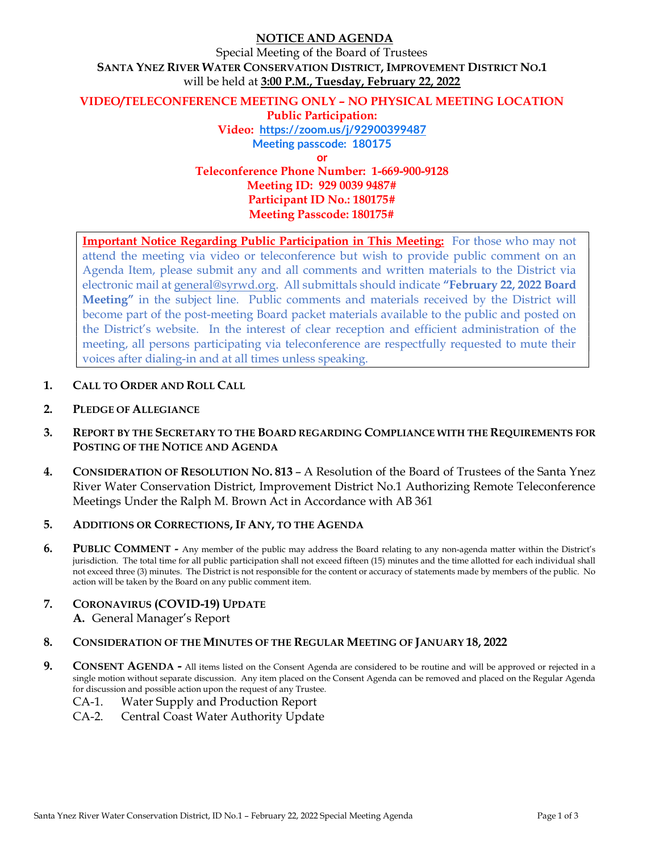# NOTICE AND AGENDA

Special Meeting of the Board of Trustees SANTA YNEZ RIVER WATER CONSERVATION DISTRICT, IMPROVEMENT DISTRICT NO.1 will be held at 3:00 P.M., Tuesday, February 22, 2022

### VIDEO/TELECONFERENCE MEETING ONLY – NO PHYSICAL MEETING LOCATION Public Participation: Video: https://zoom.us/j/92900399487 Meeting passcode: 180175 or

Teleconference Phone Number: 1-669-900-9128 Meeting ID: 929 0039 9487# Participant ID No.: 180175# Meeting Passcode: 180175#

Important Notice Regarding Public Participation in This Meeting: For those who may not attend the meeting via video or teleconference but wish to provide public comment on an Agenda Item, please submit any and all comments and written materials to the District via electronic mail at general@syrwd.org. All submittals should indicate "February 22, 2022 Board Meeting" in the subject line. Public comments and materials received by the District will become part of the post-meeting Board packet materials available to the public and posted on the District's website. In the interest of clear reception and efficient administration of the meeting, all persons participating via teleconference are respectfully requested to mute their voices after dialing-in and at all times unless speaking.

- 1. CALL TO ORDER AND ROLL CALL
- 2. PLEDGE OF ALLEGIANCE
- 3. REPORT BY THE SECRETARY TO THE BOARD REGARDING COMPLIANCE WITH THE REQUIREMENTS FOR POSTING OF THE NOTICE AND AGENDA
- 4. CONSIDERATION OF RESOLUTION NO. 813 A Resolution of the Board of Trustees of the Santa Ynez River Water Conservation District, Improvement District No.1 Authorizing Remote Teleconference Meetings Under the Ralph M. Brown Act in Accordance with AB 361
- 5. ADDITIONS OR CORRECTIONS, IF ANY, TO THE AGENDA
- 6. PUBLIC COMMENT Any member of the public may address the Board relating to any non-agenda matter within the District's jurisdiction. The total time for all public participation shall not exceed fifteen (15) minutes and the time allotted for each individual shall not exceed three (3) minutes. The District is not responsible for the content or accuracy of statements made by members of the public. No action will be taken by the Board on any public comment item.
- 7. CORONAVIRUS (COVID-19) UPDATE
	- A. General Manager's Report
- 8. CONSIDERATION OF THE MINUTES OF THE REGULAR MEETING OF JANUARY 18, 2022
- 9. CONSENT AGENDA All items listed on the Consent Agenda are considered to be routine and will be approved or rejected in a single motion without separate discussion. Any item placed on the Consent Agenda can be removed and placed on the Regular Agenda for discussion and possible action upon the request of any Trustee.
	- CA-1. Water Supply and Production Report
	- CA-2. Central Coast Water Authority Update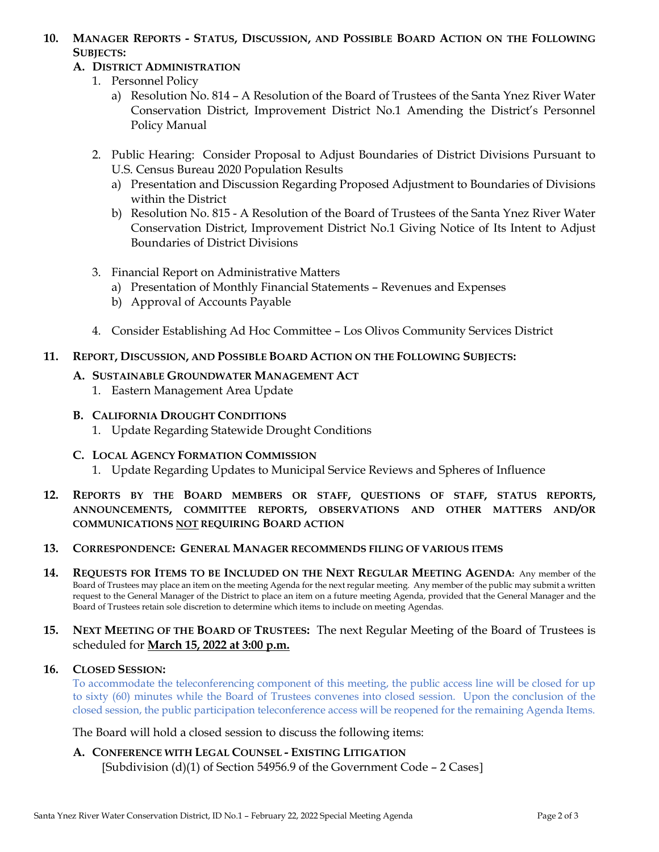## 10. MANAGER REPORTS - STATUS, DISCUSSION, AND POSSIBLE BOARD ACTION ON THE FOLLOWING SUBJECTS:

## A. DISTRICT ADMINISTRATION

- 1. Personnel Policy
	- a) Resolution No. 814 A Resolution of the Board of Trustees of the Santa Ynez River Water Conservation District, Improvement District No.1 Amending the District's Personnel Policy Manual
- 2. Public Hearing: Consider Proposal to Adjust Boundaries of District Divisions Pursuant to U.S. Census Bureau 2020 Population Results
	- a) Presentation and Discussion Regarding Proposed Adjustment to Boundaries of Divisions within the District
	- b) Resolution No. 815 A Resolution of the Board of Trustees of the Santa Ynez River Water Conservation District, Improvement District No.1 Giving Notice of Its Intent to Adjust Boundaries of District Divisions
- 3. Financial Report on Administrative Matters
	- a) Presentation of Monthly Financial Statements Revenues and Expenses
	- b) Approval of Accounts Payable
- 4. Consider Establishing Ad Hoc Committee Los Olivos Community Services District

## 11. REPORT, DISCUSSION, AND POSSIBLE BOARD ACTION ON THE FOLLOWING SUBJECTS:

### A. SUSTAINABLE GROUNDWATER MANAGEMENT ACT

- 1. Eastern Management Area Update
- B. CALIFORNIA DROUGHT CONDITIONS
	- 1. Update Regarding Statewide Drought Conditions
- C. LOCAL AGENCY FORMATION COMMISSION
	- 1. Update Regarding Updates to Municipal Service Reviews and Spheres of Influence
- 12. REPORTS BY THE BOARD MEMBERS OR STAFF, QUESTIONS OF STAFF, STATUS REPORTS, ANNOUNCEMENTS, COMMITTEE REPORTS, OBSERVATIONS AND OTHER MATTERS AND/OR COMMUNICATIONS NOT REQUIRING BOARD ACTION

## 13. CORRESPONDENCE: GENERAL MANAGER RECOMMENDS FILING OF VARIOUS ITEMS

14. REQUESTS FOR ITEMS TO BE INCLUDED ON THE NEXT REGULAR MEETING AGENDA: Any member of the Board of Trustees may place an item on the meeting Agenda for the next regular meeting. Any member of the public may submit a written request to the General Manager of the District to place an item on a future meeting Agenda, provided that the General Manager and the Board of Trustees retain sole discretion to determine which items to include on meeting Agendas.

## 15. NEXT MEETING OF THE BOARD OF TRUSTEES: The next Regular Meeting of the Board of Trustees is scheduled for March 15, 2022 at 3:00 p.m.

### 16. CLOSED SESSION:

To accommodate the teleconferencing component of this meeting, the public access line will be closed for up to sixty (60) minutes while the Board of Trustees convenes into closed session. Upon the conclusion of the closed session, the public participation teleconference access will be reopened for the remaining Agenda Items.

The Board will hold a closed session to discuss the following items:

A. CONFERENCE WITH LEGAL COUNSEL - EXISTING LITIGATION [Subdivision (d)(1) of Section 54956.9 of the Government Code  $-2$  Cases]